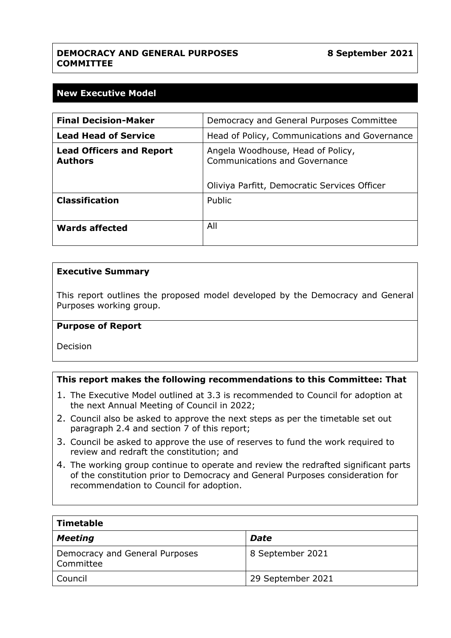# **DEMOCRACY AND GENERAL PURPOSES COMMITTEE**

# **New Executive Model**

| <b>Final Decision-Maker</b>                       | Democracy and General Purposes Committee                                                                           |
|---------------------------------------------------|--------------------------------------------------------------------------------------------------------------------|
| <b>Lead Head of Service</b>                       | Head of Policy, Communications and Governance                                                                      |
| <b>Lead Officers and Report</b><br><b>Authors</b> | Angela Woodhouse, Head of Policy,<br>Communications and Governance<br>Oliviya Parfitt, Democratic Services Officer |
| <b>Classification</b>                             | Public                                                                                                             |
| Wards affected                                    | All                                                                                                                |

#### **Executive Summary**

This report outlines the proposed model developed by the Democracy and General Purposes working group.

#### **Purpose of Report**

Decision

### **This report makes the following recommendations to this Committee: That**

- 1. The Executive Model outlined at 3.3 is recommended to Council for adoption at the next Annual Meeting of Council in 2022;
- 2. Council also be asked to approve the next steps as per the timetable set out paragraph 2.4 and section 7 of this report;
- 3. Council be asked to approve the use of reserves to fund the work required to review and redraft the constitution; and
- 4. The working group continue to operate and review the redrafted significant parts of the constitution prior to Democracy and General Purposes consideration for recommendation to Council for adoption.

| <b>Timetable</b>                            |                   |
|---------------------------------------------|-------------------|
| <b>Meeting</b>                              | <b>Date</b>       |
| Democracy and General Purposes<br>Committee | 8 September 2021  |
| Council                                     | 29 September 2021 |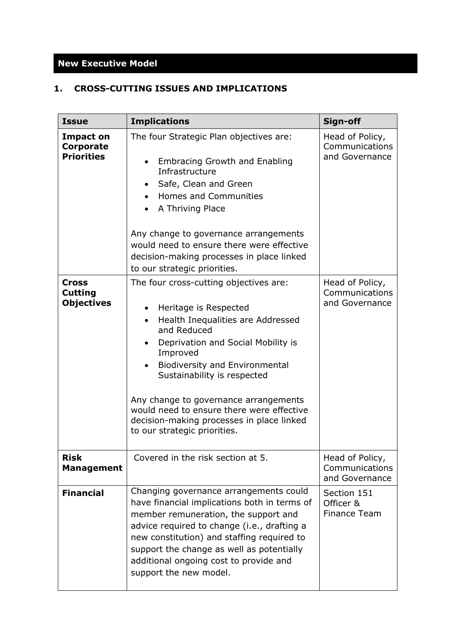# **New Executive Model**

# **1. CROSS-CUTTING ISSUES AND IMPLICATIONS**

| <b>Issue</b>                                              | <b>Implications</b>                                                                                                                                                                                                                                                                                                                                                                                                                                                  | Sign-off                                            |
|-----------------------------------------------------------|----------------------------------------------------------------------------------------------------------------------------------------------------------------------------------------------------------------------------------------------------------------------------------------------------------------------------------------------------------------------------------------------------------------------------------------------------------------------|-----------------------------------------------------|
| <b>Impact on</b><br><b>Corporate</b><br><b>Priorities</b> | The four Strategic Plan objectives are:<br><b>Embracing Growth and Enabling</b><br>$\bullet$<br>Infrastructure<br>Safe, Clean and Green<br>$\bullet$<br>Homes and Communities<br>A Thriving Place<br>Any change to governance arrangements<br>would need to ensure there were effective<br>decision-making processes in place linked<br>to our strategic priorities.                                                                                                 | Head of Policy,<br>Communications<br>and Governance |
| Cross<br><b>Cutting</b><br><b>Objectives</b>              | The four cross-cutting objectives are:<br>Heritage is Respected<br>$\bullet$<br>Health Inequalities are Addressed<br>$\bullet$<br>and Reduced<br>Deprivation and Social Mobility is<br>$\bullet$<br>Improved<br><b>Biodiversity and Environmental</b><br>$\bullet$<br>Sustainability is respected<br>Any change to governance arrangements<br>would need to ensure there were effective<br>decision-making processes in place linked<br>to our strategic priorities. | Head of Policy,<br>Communications<br>and Governance |
| <b>Risk</b><br>Management                                 | Covered in the risk section at 5.                                                                                                                                                                                                                                                                                                                                                                                                                                    | Head of Policy,<br>Communications<br>and Governance |
| <b>Financial</b>                                          | Changing governance arrangements could<br>have financial implications both in terms of<br>member remuneration, the support and<br>advice required to change (i.e., drafting a<br>new constitution) and staffing required to<br>support the change as well as potentially<br>additional ongoing cost to provide and<br>support the new model.                                                                                                                         | Section 151<br>Officer &<br><b>Finance Team</b>     |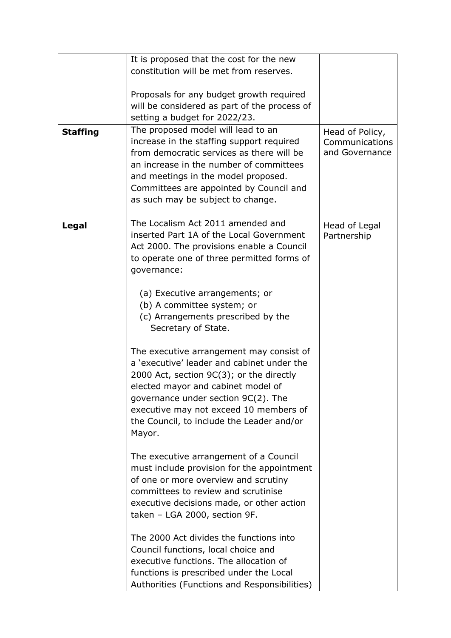| <b>Staffing</b> | It is proposed that the cost for the new<br>constitution will be met from reserves.<br>Proposals for any budget growth required<br>will be considered as part of the process of<br>setting a budget for 2022/23.<br>The proposed model will lead to an<br>increase in the staffing support required<br>from democratic services as there will be<br>an increase in the number of committees<br>and meetings in the model proposed.<br>Committees are appointed by Council and<br>as such may be subject to change.                                                                                                                                                                                                                                                                                                                                                                                                                                                                                                                                                                                                   | Head of Policy,<br>Communications<br>and Governance |
|-----------------|----------------------------------------------------------------------------------------------------------------------------------------------------------------------------------------------------------------------------------------------------------------------------------------------------------------------------------------------------------------------------------------------------------------------------------------------------------------------------------------------------------------------------------------------------------------------------------------------------------------------------------------------------------------------------------------------------------------------------------------------------------------------------------------------------------------------------------------------------------------------------------------------------------------------------------------------------------------------------------------------------------------------------------------------------------------------------------------------------------------------|-----------------------------------------------------|
| Legal           | The Localism Act 2011 amended and<br>inserted Part 1A of the Local Government<br>Act 2000. The provisions enable a Council<br>to operate one of three permitted forms of<br>governance:<br>(a) Executive arrangements; or<br>(b) A committee system; or<br>(c) Arrangements prescribed by the<br>Secretary of State.<br>The executive arrangement may consist of<br>a 'executive' leader and cabinet under the<br>2000 Act, section 9C(3); or the directly<br>elected mayor and cabinet model of<br>governance under section 9C(2). The<br>executive may not exceed 10 members of<br>the Council, to include the Leader and/or<br>Mayor.<br>The executive arrangement of a Council<br>must include provision for the appointment<br>of one or more overview and scrutiny<br>committees to review and scrutinise<br>executive decisions made, or other action<br>taken - LGA 2000, section 9F.<br>The 2000 Act divides the functions into<br>Council functions, local choice and<br>executive functions. The allocation of<br>functions is prescribed under the Local<br>Authorities (Functions and Responsibilities) | Head of Legal<br>Partnership                        |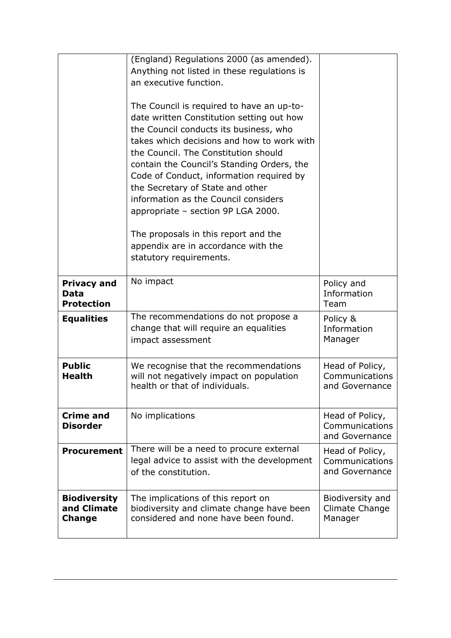|                                                        | (England) Regulations 2000 (as amended).<br>Anything not listed in these regulations is<br>an executive function.<br>The Council is required to have an up-to-<br>date written Constitution setting out how<br>the Council conducts its business, who<br>takes which decisions and how to work with<br>the Council. The Constitution should<br>contain the Council's Standing Orders, the<br>Code of Conduct, information required by<br>the Secretary of State and other<br>information as the Council considers<br>appropriate - section 9P LGA 2000.<br>The proposals in this report and the<br>appendix are in accordance with the<br>statutory requirements. |                                                     |
|--------------------------------------------------------|-------------------------------------------------------------------------------------------------------------------------------------------------------------------------------------------------------------------------------------------------------------------------------------------------------------------------------------------------------------------------------------------------------------------------------------------------------------------------------------------------------------------------------------------------------------------------------------------------------------------------------------------------------------------|-----------------------------------------------------|
| <b>Privacy and</b><br><b>Data</b><br><b>Protection</b> | No impact                                                                                                                                                                                                                                                                                                                                                                                                                                                                                                                                                                                                                                                         | Policy and<br>Information<br>Team                   |
| <b>Equalities</b>                                      | The recommendations do not propose a<br>change that will require an equalities<br>impact assessment                                                                                                                                                                                                                                                                                                                                                                                                                                                                                                                                                               | Policy &<br>Information<br>Manager                  |
| <b>Public</b><br><b>Health</b>                         | We recognise that the recommendations<br>will not negatively impact on population<br>health or that of individuals.                                                                                                                                                                                                                                                                                                                                                                                                                                                                                                                                               | Head of Policy,<br>Communications<br>and Governance |
| <b>Crime and</b><br><b>Disorder</b>                    | No implications                                                                                                                                                                                                                                                                                                                                                                                                                                                                                                                                                                                                                                                   | Head of Policy,<br>Communications<br>and Governance |
| <b>Procurement</b>                                     | There will be a need to procure external<br>legal advice to assist with the development<br>of the constitution.                                                                                                                                                                                                                                                                                                                                                                                                                                                                                                                                                   | Head of Policy,<br>Communications<br>and Governance |
| <b>Biodiversity</b><br>and Climate<br><b>Change</b>    | The implications of this report on<br>biodiversity and climate change have been<br>considered and none have been found.                                                                                                                                                                                                                                                                                                                                                                                                                                                                                                                                           | Biodiversity and<br>Climate Change<br>Manager       |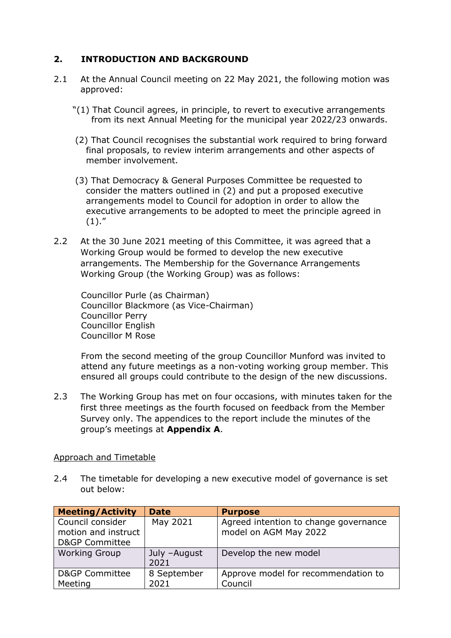# **2. INTRODUCTION AND BACKGROUND**

- 2.1 At the Annual Council meeting on 22 May 2021, the following motion was approved:
	- "(1) That Council agrees, in principle, to revert to executive arrangements from its next Annual Meeting for the municipal year 2022/23 onwards.
	- (2) That Council recognises the substantial work required to bring forward final proposals, to review interim arrangements and other aspects of member involvement.
	- (3) That Democracy & General Purposes Committee be requested to consider the matters outlined in (2) and put a proposed executive arrangements model to Council for adoption in order to allow the executive arrangements to be adopted to meet the principle agreed in  $(1).''$
- 2.2 At the 30 June 2021 meeting of this Committee, it was agreed that a Working Group would be formed to develop the new executive arrangements. The Membership for the Governance Arrangements Working Group (the Working Group) was as follows:

Councillor Purle (as Chairman) Councillor Blackmore (as Vice-Chairman) Councillor Perry Councillor English Councillor M Rose

From the second meeting of the group Councillor Munford was invited to attend any future meetings as a non-voting working group member. This ensured all groups could contribute to the design of the new discussions.

2.3 The Working Group has met on four occasions, with minutes taken for the first three meetings as the fourth focused on feedback from the Member Survey only. The appendices to the report include the minutes of the group's meetings at **Appendix A**.

### Approach and Timetable

2.4 The timetable for developing a new executive model of governance is set out below:

| <b>Meeting/Activity</b>                 | <b>Date</b>  | <b>Purpose</b>                                                 |
|-----------------------------------------|--------------|----------------------------------------------------------------|
| Council consider<br>motion and instruct | May 2021     | Agreed intention to change governance<br>model on AGM May 2022 |
| <b>D&amp;GP Committee</b>               |              |                                                                |
| <b>Working Group</b>                    | July -August | Develop the new model                                          |
|                                         | 2021         |                                                                |
| <b>D&amp;GP Committee</b>               | 8 September  | Approve model for recommendation to                            |
| Meeting                                 | 2021         | Council                                                        |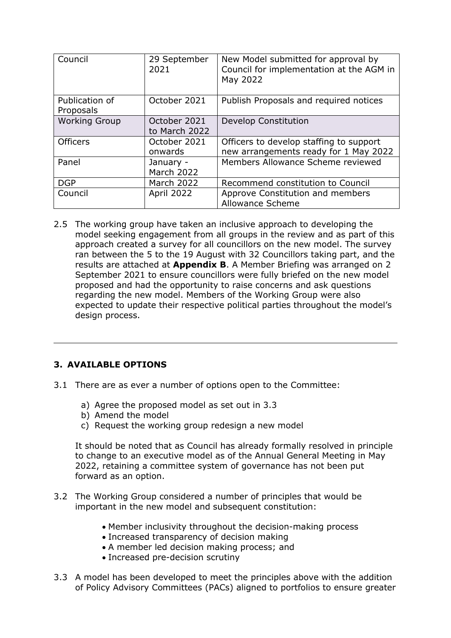| Council                     | 29 September<br>2021          | New Model submitted for approval by<br>Council for implementation at the AGM in<br>May 2022 |
|-----------------------------|-------------------------------|---------------------------------------------------------------------------------------------|
| Publication of<br>Proposals | October 2021                  | Publish Proposals and required notices                                                      |
| <b>Working Group</b>        | October 2021<br>to March 2022 | Develop Constitution                                                                        |
| <b>Officers</b>             | October 2021<br>onwards       | Officers to develop staffing to support<br>new arrangements ready for 1 May 2022            |
| Panel                       | January -<br>March 2022       | Members Allowance Scheme reviewed                                                           |
| <b>DGP</b>                  | March 2022                    | Recommend constitution to Council                                                           |
| Council                     | April 2022                    | Approve Constitution and members<br><b>Allowance Scheme</b>                                 |

2.5 The working group have taken an inclusive approach to developing the model seeking engagement from all groups in the review and as part of this approach created a survey for all councillors on the new model. The survey ran between the 5 to the 19 August with 32 Councillors taking part, and the results are attached at **Appendix B**. A Member Briefing was arranged on 2 September 2021 to ensure councillors were fully briefed on the new model proposed and had the opportunity to raise concerns and ask questions regarding the new model. Members of the Working Group were also expected to update their respective political parties throughout the model's design process.

# **3. AVAILABLE OPTIONS**

- 3.1 There are as ever a number of options open to the Committee:
	- a) Agree the proposed model as set out in 3.3
	- b) Amend the model
	- c) Request the working group redesign a new model

It should be noted that as Council has already formally resolved in principle to change to an executive model as of the Annual General Meeting in May 2022, retaining a committee system of governance has not been put forward as an option.

- 3.2 The Working Group considered a number of principles that would be important in the new model and subsequent constitution:
	- Member inclusivity throughout the decision-making process
	- Increased transparency of decision making
	- A member led decision making process; and
	- Increased pre-decision scrutiny
- 3.3 A model has been developed to meet the principles above with the addition of Policy Advisory Committees (PACs) aligned to portfolios to ensure greater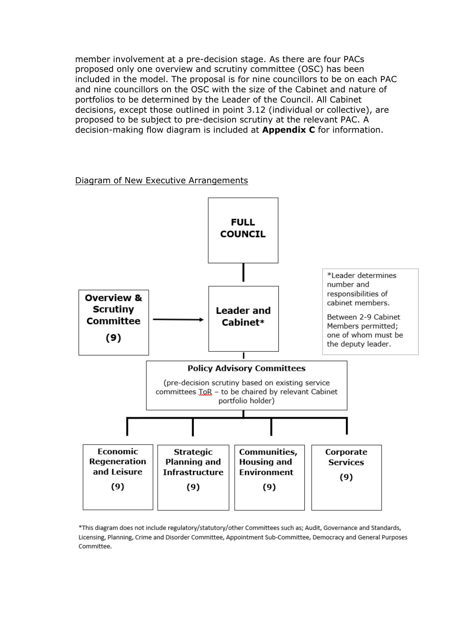member involvement at a pre-decision stage. As there are four PACs proposed only one overview and scrutiny committee (OSC) has been included in the model. The proposal is for nine councillors to be on each PAC and nine councillors on the OSC with the size of the Cabinet and nature of portfolios to be determined by the Leader of the Council. All Cabinet decisions, except those outlined in point 3.12 (individual or collective), are proposed to be subject to pre-decision scrutiny at the relevant PAC. A decision-making flow diagram is included at **Appendix C** for information.

#### Diagram of New Executive Arrangements



\*This diagram does not include regulatory/statutory/other Committees such as; Audit, Governance and Standards, Licensing, Planning, Crime and Disorder Committee, Appointment Sub-Committee, Democracy and General Purposes Committee.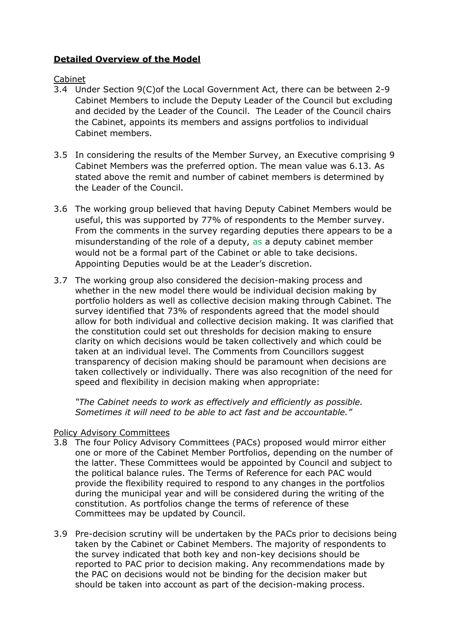# **Detailed Overview of the Model**

#### Cabinet

- 3.4 Under Section 9(C)of the Local Government Act, there can be between 2-9 Cabinet Members to include the Deputy Leader of the Council but excluding and decided by the Leader of the Council. The Leader of the Council chairs the Cabinet, appoints its members and assigns portfolios to individual Cabinet members.
- 3.5 In considering the results of the Member Survey, an Executive comprising 9 Cabinet Members was the preferred option. The mean value was 6.13. As stated above the remit and number of cabinet members is determined by the Leader of the Council.
- 3.6 The working group believed that having Deputy Cabinet Members would be useful, this was supported by 77% of respondents to the Member survey. From the comments in the survey regarding deputies there appears to be a misunderstanding of the role of a deputy, as a deputy cabinet member would not be a formal part of the Cabinet or able to take decisions. Appointing Deputies would be at the Leader's discretion.
- 3.7 The working group also considered the decision-making process and whether in the new model there would be individual decision making by portfolio holders as well as collective decision making through Cabinet. The survey identified that 73% of respondents agreed that the model should allow for both individual and collective decision making. It was clarified that the constitution could set out thresholds for decision making to ensure clarity on which decisions would be taken collectively and which could be taken at an individual level. The Comments from Councillors suggest transparency of decision making should be paramount when decisions are taken collectively or individually. There was also recognition of the need for speed and flexibility in decision making when appropriate:

*"The Cabinet needs to work as effectively and efficiently as possible. Sometimes it will need to be able to act fast and be accountable."*

#### Policy Advisory Committees

- 3.8 The four Policy Advisory Committees (PACs) proposed would mirror either one or more of the Cabinet Member Portfolios, depending on the number of the latter. These Committees would be appointed by Council and subject to the political balance rules. The Terms of Reference for each PAC would provide the flexibility required to respond to any changes in the portfolios during the municipal year and will be considered during the writing of the constitution. As portfolios change the terms of reference of these Committees may be updated by Council.
- 3.9 Pre-decision scrutiny will be undertaken by the PACs prior to decisions being taken by the Cabinet or Cabinet Members. The majority of respondents to the survey indicated that both key and non-key decisions should be reported to PAC prior to decision making. Any recommendations made by the PAC on decisions would not be binding for the decision maker but should be taken into account as part of the decision-making process.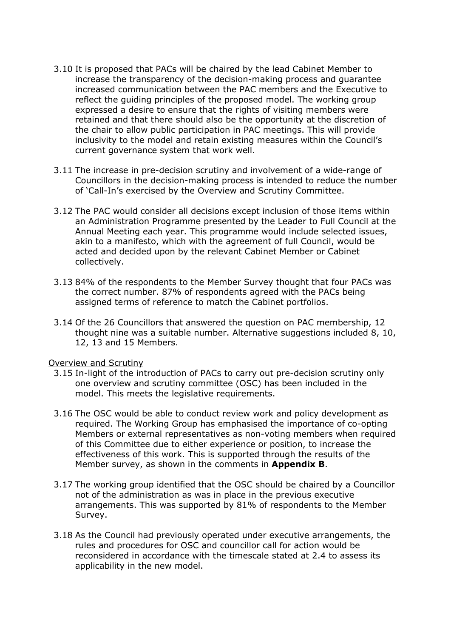- 3.10 It is proposed that PACs will be chaired by the lead Cabinet Member to increase the transparency of the decision-making process and guarantee increased communication between the PAC members and the Executive to reflect the guiding principles of the proposed model. The working group expressed a desire to ensure that the rights of visiting members were retained and that there should also be the opportunity at the discretion of the chair to allow public participation in PAC meetings. This will provide inclusivity to the model and retain existing measures within the Council's current governance system that work well.
- 3.11 The increase in pre-decision scrutiny and involvement of a wide-range of Councillors in the decision-making process is intended to reduce the number of 'Call-In's exercised by the Overview and Scrutiny Committee.
- 3.12 The PAC would consider all decisions except inclusion of those items within an Administration Programme presented by the Leader to Full Council at the Annual Meeting each year. This programme would include selected issues, akin to a manifesto, which with the agreement of full Council, would be acted and decided upon by the relevant Cabinet Member or Cabinet collectively.
- 3.13 84% of the respondents to the Member Survey thought that four PACs was the correct number. 87% of respondents agreed with the PACs being assigned terms of reference to match the Cabinet portfolios.
- 3.14 Of the 26 Councillors that answered the question on PAC membership, 12 thought nine was a suitable number. Alternative suggestions included 8, 10, 12, 13 and 15 Members.

#### Overview and Scrutiny

- 3.15 In-light of the introduction of PACs to carry out pre-decision scrutiny only one overview and scrutiny committee (OSC) has been included in the model. This meets the legislative requirements.
- 3.16 The OSC would be able to conduct review work and policy development as required. The Working Group has emphasised the importance of co-opting Members or external representatives as non-voting members when required of this Committee due to either experience or position, to increase the effectiveness of this work. This is supported through the results of the Member survey, as shown in the comments in **Appendix B**.
- 3.17 The working group identified that the OSC should be chaired by a Councillor not of the administration as was in place in the previous executive arrangements. This was supported by 81% of respondents to the Member Survey.
- 3.18 As the Council had previously operated under executive arrangements, the rules and procedures for OSC and councillor call for action would be reconsidered in accordance with the timescale stated at 2.4 to assess its applicability in the new model.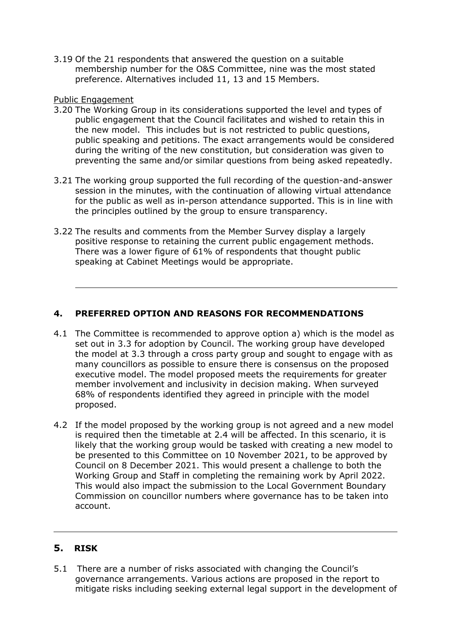3.19 Of the 21 respondents that answered the question on a suitable membership number for the O&S Committee, nine was the most stated preference. Alternatives included 11, 13 and 15 Members.

### Public Engagement

- 3.20 The Working Group in its considerations supported the level and types of public engagement that the Council facilitates and wished to retain this in the new model. This includes but is not restricted to public questions, public speaking and petitions. The exact arrangements would be considered during the writing of the new constitution, but consideration was given to preventing the same and/or similar questions from being asked repeatedly.
- 3.21 The working group supported the full recording of the question-and-answer session in the minutes, with the continuation of allowing virtual attendance for the public as well as in-person attendance supported. This is in line with the principles outlined by the group to ensure transparency.
- 3.22 The results and comments from the Member Survey display a largely positive response to retaining the current public engagement methods. There was a lower figure of 61% of respondents that thought public speaking at Cabinet Meetings would be appropriate.

# **4. PREFERRED OPTION AND REASONS FOR RECOMMENDATIONS**

- 4.1 The Committee is recommended to approve option a) which is the model as set out in 3.3 for adoption by Council. The working group have developed the model at 3.3 through a cross party group and sought to engage with as many councillors as possible to ensure there is consensus on the proposed executive model. The model proposed meets the requirements for greater member involvement and inclusivity in decision making. When surveyed 68% of respondents identified they agreed in principle with the model proposed.
- 4.2 If the model proposed by the working group is not agreed and a new model is required then the timetable at 2.4 will be affected. In this scenario, it is likely that the working group would be tasked with creating a new model to be presented to this Committee on 10 November 2021, to be approved by Council on 8 December 2021. This would present a challenge to both the Working Group and Staff in completing the remaining work by April 2022. This would also impact the submission to the Local Government Boundary Commission on councillor numbers where governance has to be taken into account.

### **5. RISK**

5.1 There are a number of risks associated with changing the Council's governance arrangements. Various actions are proposed in the report to mitigate risks including seeking external legal support in the development of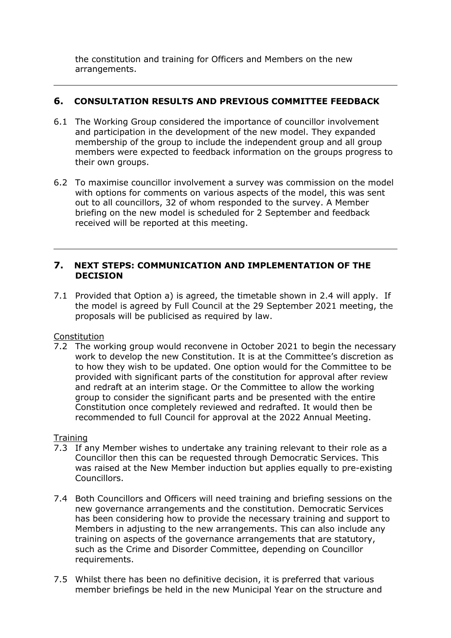the constitution and training for Officers and Members on the new arrangements.

# **6. CONSULTATION RESULTS AND PREVIOUS COMMITTEE FEEDBACK**

- 6.1 The Working Group considered the importance of councillor involvement and participation in the development of the new model. They expanded membership of the group to include the independent group and all group members were expected to feedback information on the groups progress to their own groups.
- 6.2 To maximise councillor involvement a survey was commission on the model with options for comments on various aspects of the model, this was sent out to all councillors, 32 of whom responded to the survey. A Member briefing on the new model is scheduled for 2 September and feedback received will be reported at this meeting.

### **7. NEXT STEPS: COMMUNICATION AND IMPLEMENTATION OF THE DECISION**

7.1 Provided that Option a) is agreed, the timetable shown in 2.4 will apply. If the model is agreed by Full Council at the 29 September 2021 meeting, the proposals will be publicised as required by law.

Constitution

7.2 The working group would reconvene in October 2021 to begin the necessary work to develop the new Constitution. It is at the Committee's discretion as to how they wish to be updated. One option would for the Committee to be provided with significant parts of the constitution for approval after review and redraft at an interim stage. Or the Committee to allow the working group to consider the significant parts and be presented with the entire Constitution once completely reviewed and redrafted. It would then be recommended to full Council for approval at the 2022 Annual Meeting.

# **Training**

- 7.3 If any Member wishes to undertake any training relevant to their role as a Councillor then this can be requested through Democratic Services. This was raised at the New Member induction but applies equally to pre-existing Councillors.
- 7.4 Both Councillors and Officers will need training and briefing sessions on the new governance arrangements and the constitution. Democratic Services has been considering how to provide the necessary training and support to Members in adjusting to the new arrangements. This can also include any training on aspects of the governance arrangements that are statutory, such as the Crime and Disorder Committee, depending on Councillor requirements.
- 7.5 Whilst there has been no definitive decision, it is preferred that various member briefings be held in the new Municipal Year on the structure and